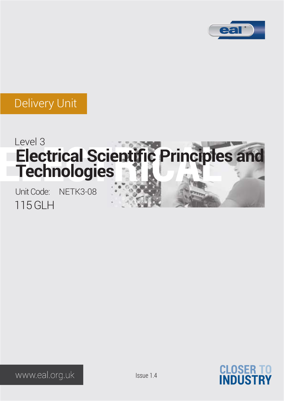

# Level 3<br>Electrical Scientific Principles and **Technologies**

115 GLH Unit Code: NETK3-08



www.eal.org.uk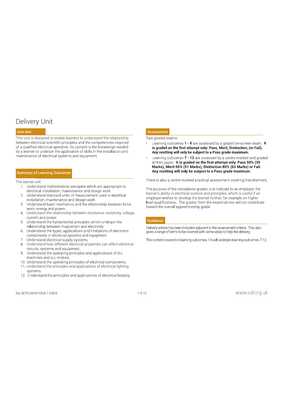This unit is designed to enable learners to understand the relationship<br>between electrical scientific principles and the competencies required<br>
. Learning outcom of a qualified electrical operative. Its content is the knowledge needed by a learner to underpin the application of skills in the installation and maintenance of electrical systems and equipment.

## Summary of Learning Outcomes

- The learner will:<br>1. Understand mathematical principles which are appropriate to
	-
	-
	- Understand the relationship between resistance, resistivity, voltage,
	-
	-
	-
	- 8. Understand how different electrical properties can affect electrical circuits, systems and equipment.
	-
	-
	- 11. Understand the principles and applications of electrical lighting
	-

## Unit Aim Assessment

- Learning outcomes 1 6 are assessed by a graded on-screen exam. It is graded on the first attempt only: Pass, Merit, Distinction; (or Fail). Any resitting will only be subject to a Pass grade maximum.
- Learning outcomes 7 12 are assessed by a centre marked and graded<br>written paper. It is graded on the first attempt only: Pass 50% (39 Marks), Merit 65% (51 Marks), Distinction 80% (63 Marks) or Fail.

**EXAMPLE OF LEARNING CONSULTER**<br>
The is also a center onded provide interesting with the substitute of the substitute of the substitute of the center of the center of the center of the center of the center of the center o learner's ability in electrical science and principles, which is useful if an

### **Guidance**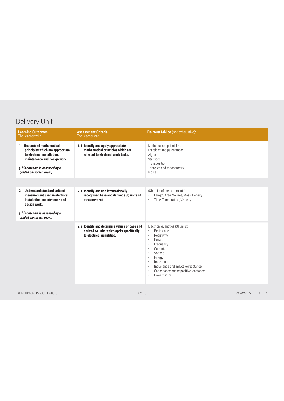| <b>Learning Outcomes</b><br>The learner will:                                                                                                                                             | <b>Assessment Criteria</b><br>The learner can:                                                                          | <b>Delivery Advice</b> (not exhaustive):                                                                                                                                                                                                                                                                                     |
|-------------------------------------------------------------------------------------------------------------------------------------------------------------------------------------------|-------------------------------------------------------------------------------------------------------------------------|------------------------------------------------------------------------------------------------------------------------------------------------------------------------------------------------------------------------------------------------------------------------------------------------------------------------------|
| 1. Understand mathematical<br>principles which are appropriate<br>to electrical installation,<br>maintenance and design work.<br>(This outcome is assessed by a<br>graded on-screen exam) | 1.1 Identify and apply appropriate<br>mathematical principles which are<br>relevant to electrical work tasks.           | Mathematical principles:<br>Fractions and percentages<br>Algebra<br><b>Statistics</b><br>Transposition<br>Triangles and trigonometry<br>Indices.                                                                                                                                                                             |
|                                                                                                                                                                                           |                                                                                                                         |                                                                                                                                                                                                                                                                                                                              |
| 2. Understand standard units of<br>measurement used in electrical<br>installation, maintenance and<br>design work.                                                                        | 2.1 Identify and use internationally<br>recognised base and derived (SI) units of<br>measurement.                       | (SI) Units of measurement for:<br>Length, Area, Volume, Mass; Density<br>Time, Temperature; Velocity.<br>$\bullet$                                                                                                                                                                                                           |
| (This outcome is assessed by a<br>graded on-screen exam)                                                                                                                                  |                                                                                                                         |                                                                                                                                                                                                                                                                                                                              |
|                                                                                                                                                                                           | 2.2 Identify and determine values of base and<br>derived SI units which apply specifically<br>to electrical quantities. | Electrical quantities (SI units):<br>Resistance,<br>Resistivity,<br>$\ddot{\phantom{0}}$<br>Power.<br>Frequency,<br>Current,<br>$\bullet$<br>Voltage<br>Energy<br>$\bullet$<br>Impedance<br>$\ddot{\phantom{0}}$<br>Inductance and inductive reactance<br>Capacitance and capacitive reactance<br>Power factor.<br>$\bullet$ |
| EAL-NETK3-08-DP-ISSUE 1.4-0818                                                                                                                                                            | 2 of 10                                                                                                                 | www.eal.org.uk                                                                                                                                                                                                                                                                                                               |
|                                                                                                                                                                                           |                                                                                                                         |                                                                                                                                                                                                                                                                                                                              |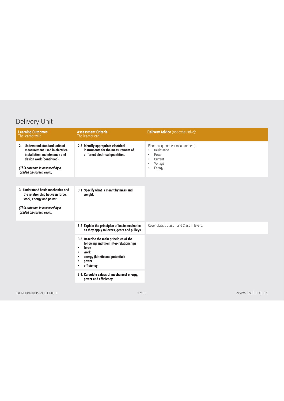| <b>Learning Outcomes</b><br>The learner will:                                                                                  | <b>Assessment Criteria</b><br>The learner can:                                                                                                                                                | <b>Delivery Advice</b> (not exhaustive):                                          |
|--------------------------------------------------------------------------------------------------------------------------------|-----------------------------------------------------------------------------------------------------------------------------------------------------------------------------------------------|-----------------------------------------------------------------------------------|
| 2. Understand standard units of<br>measurement used in electrical<br>installation, maintenance and<br>design work (continued). | 2.3 Identify appropriate electrical<br>instruments for the measurement of<br>different electrical quantities.                                                                                 | Electrical quantities (measurement):<br>Resistance<br>Power<br>Current<br>Voltage |
| (This outcome is assessed by a<br>graded on-screen exam)                                                                       |                                                                                                                                                                                               | Energy.                                                                           |
|                                                                                                                                |                                                                                                                                                                                               |                                                                                   |
| 3. Understand basic mechanics and<br>the relationship between force,<br>work, energy and power.                                | 3.1 Specify what is meant by mass and<br>weight.                                                                                                                                              |                                                                                   |
| (This outcome is assessed by a<br>graded on-screen exam)                                                                       |                                                                                                                                                                                               |                                                                                   |
|                                                                                                                                | 3.2 Explain the principles of basic mechanics<br>as they apply to levers, gears and pulleys.                                                                                                  | Cover Class I, Class II and Class III levers.                                     |
|                                                                                                                                | 3.3 Describe the main principles of the<br>following and their inter-relationships:<br>force<br>$\bullet$<br>work<br>$\bullet$<br>energy (kinetic and potential)<br>power<br>٠<br>efficiency. |                                                                                   |
|                                                                                                                                | 3.4. Calculate values of mechanical energy,<br>power and efficiency                                                                                                                           |                                                                                   |
| EAL-NETK3-08-DP-ISSUE 1.4-0818                                                                                                 | 3 of 10                                                                                                                                                                                       | www.eal.org.uk                                                                    |
|                                                                                                                                |                                                                                                                                                                                               |                                                                                   |
|                                                                                                                                |                                                                                                                                                                                               |                                                                                   |
|                                                                                                                                |                                                                                                                                                                                               |                                                                                   |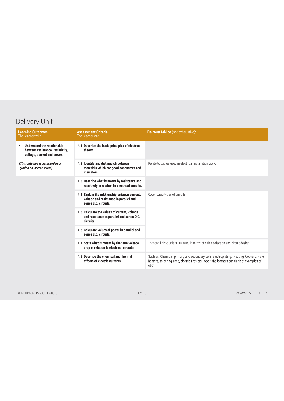| <b>Learning Outcomes</b><br>The learner will:                                                    | <b>Assessment Criteria</b><br>The learner can:                                                                   | <b>Delivery Advice</b> (not exhaustive):                                                                                                                                                       |
|--------------------------------------------------------------------------------------------------|------------------------------------------------------------------------------------------------------------------|------------------------------------------------------------------------------------------------------------------------------------------------------------------------------------------------|
| 4 Understand the relationship<br>between resistance, resistivity,<br>voltage, current and power. | 4.1 Describe the basic principles of electron<br>theory.                                                         |                                                                                                                                                                                                |
| (This outcome is assessed by a<br>graded on-screen exam)                                         | 4.2 Identify and distinguish between<br>materials which are good conductors and<br>insulators.                   | Relate to cables used in electrical installation work.                                                                                                                                         |
|                                                                                                  | 4.3 Describe what is meant by resistance and<br>resistivity in relation to electrical circuits.                  |                                                                                                                                                                                                |
|                                                                                                  | 4.4 Explain the relationship between current,<br>voltage and resistance in parallel and<br>series d.c. circuits. | Cover basic types of circuits.                                                                                                                                                                 |
|                                                                                                  | 4.5 Calculate the values of current, voltage<br>and resistance in parallel and series D.C.<br>circuits.          |                                                                                                                                                                                                |
|                                                                                                  | 4.6 Calculate values of power in parallel and<br>series d.c. circuits.                                           |                                                                                                                                                                                                |
|                                                                                                  | 4.7 State what is meant by the term voltage<br>drop in relation to electrical circuits.                          | This can link to unit NETK3/04, in terms of cable selection and circuit design                                                                                                                 |
|                                                                                                  | 4.8 Describe the chemical and thermal<br>effects of electric currents.                                           | Such as: Chemical: primary and secondary cells, electroplating. Heating: Cookers, water<br>heaters, soldering irons, electric fires etc. See if the learners can think of examples of<br>each. |
|                                                                                                  |                                                                                                                  |                                                                                                                                                                                                |
| EAL-NETK3-08-DP-ISSUE 1.4-0818                                                                   | 4 of 10                                                                                                          | www.eal.org.uk                                                                                                                                                                                 |
|                                                                                                  |                                                                                                                  |                                                                                                                                                                                                |
|                                                                                                  |                                                                                                                  |                                                                                                                                                                                                |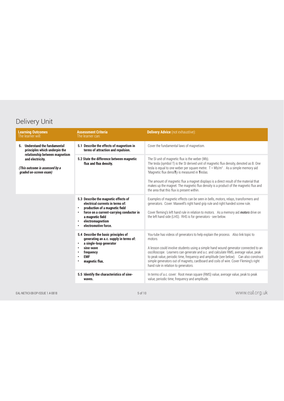| 5. Understand the fundamental<br>Cover the fundamental laws of magnetism.<br>5.1 Describe the effects of magnetism in<br>principles which underpin the<br>terms of attraction and repulsion.<br>relationship between magnetism<br>5.2 State the difference between magnetic<br>The SI unit of magnetic flux is the weber (Wb).<br>and electricity.<br>flux and flux density.<br>The tesla (symbol T) is the SI derived unit of magnetic flux density, denoted as B. One<br>tesla is equal to one weber per square metre. $T = Wb/m^2$ . As a simple memory aid<br>(This outcome is assessed by a<br>'Magnetic flux densiTy is measured in Teslas.<br>graded on-screen exam)<br>The amount of magnetic flux a magnet displays is a direct result of the material that<br>makes up the magnet. The magnetic flux density is a product of the magnetic flux and<br>the area that this flux is present within.<br>Examples of magnetic effects can be seen in bells, motors, relays, transformers and<br>5.3 Describe the magnetic effects of<br>electrical currents in terms of:<br>generators. Cover: Maxwell's right hand grip rule and right handed screw rule.<br>production of a magnetic field<br>$\bullet$<br>force on a current-carrying conductor in<br>Cover fleming's left hand rule in relation to motors. As a memory aid <i>motors</i> drive on<br>a magnetic field<br>the left hand side (LHS). RHS is for generators - see below.<br>electromagnetism<br>electromotive force.<br>5.4 Describe the basic principles of<br>You-tube has videos of generators to help explain the process. Also link topic to<br>generating an a.c. supply in terms of:<br>motors.<br>a single-loop generator<br>$\bullet$<br>A lesson could involve students using a simple hand wound generator connected to an<br>sine-wave<br>oscilloscope. Learners can generate and a.c. and calculate RMS, average value, peak<br>frequency<br>to peak value, periodic time, frequency and amplitude (see below). Can also construct<br><b>EMF</b><br>simple generators out of magnets, cardboard and coils of wire. Cover Fleming's right<br>magnetic flux.<br>hand rule in relation to generators.<br>5.5 Identify the characteristics of sine-<br>In terms of a.c. cover: Root mean square (RMS) value, average value, peak to peak<br>value, periodic time, frequency and amplitude.<br>waves.<br>5 of 10 |  | <b>Learning Outcomes</b><br>The learner will: | <b>Assessment Criteria</b><br>The learner can: | <b>Delivery Advice</b> (not exhaustive): |
|------------------------------------------------------------------------------------------------------------------------------------------------------------------------------------------------------------------------------------------------------------------------------------------------------------------------------------------------------------------------------------------------------------------------------------------------------------------------------------------------------------------------------------------------------------------------------------------------------------------------------------------------------------------------------------------------------------------------------------------------------------------------------------------------------------------------------------------------------------------------------------------------------------------------------------------------------------------------------------------------------------------------------------------------------------------------------------------------------------------------------------------------------------------------------------------------------------------------------------------------------------------------------------------------------------------------------------------------------------------------------------------------------------------------------------------------------------------------------------------------------------------------------------------------------------------------------------------------------------------------------------------------------------------------------------------------------------------------------------------------------------------------------------------------------------------------------------------------------------------------------------------------------------------------------------------------------------------------------------------------------------------------------------------------------------------------------------------------------------------------------------------------------------------------------------------------------------------------------------------------------------------------------------------------------------------------------------------------------------------------------------------------|--|-----------------------------------------------|------------------------------------------------|------------------------------------------|
|                                                                                                                                                                                                                                                                                                                                                                                                                                                                                                                                                                                                                                                                                                                                                                                                                                                                                                                                                                                                                                                                                                                                                                                                                                                                                                                                                                                                                                                                                                                                                                                                                                                                                                                                                                                                                                                                                                                                                                                                                                                                                                                                                                                                                                                                                                                                                                                                |  |                                               |                                                |                                          |
| www.eal.org.uk<br>EAL-NETK3-08-DP-ISSUE 1.4-0818                                                                                                                                                                                                                                                                                                                                                                                                                                                                                                                                                                                                                                                                                                                                                                                                                                                                                                                                                                                                                                                                                                                                                                                                                                                                                                                                                                                                                                                                                                                                                                                                                                                                                                                                                                                                                                                                                                                                                                                                                                                                                                                                                                                                                                                                                                                                               |  |                                               |                                                |                                          |
|                                                                                                                                                                                                                                                                                                                                                                                                                                                                                                                                                                                                                                                                                                                                                                                                                                                                                                                                                                                                                                                                                                                                                                                                                                                                                                                                                                                                                                                                                                                                                                                                                                                                                                                                                                                                                                                                                                                                                                                                                                                                                                                                                                                                                                                                                                                                                                                                |  |                                               |                                                |                                          |
|                                                                                                                                                                                                                                                                                                                                                                                                                                                                                                                                                                                                                                                                                                                                                                                                                                                                                                                                                                                                                                                                                                                                                                                                                                                                                                                                                                                                                                                                                                                                                                                                                                                                                                                                                                                                                                                                                                                                                                                                                                                                                                                                                                                                                                                                                                                                                                                                |  |                                               |                                                |                                          |
|                                                                                                                                                                                                                                                                                                                                                                                                                                                                                                                                                                                                                                                                                                                                                                                                                                                                                                                                                                                                                                                                                                                                                                                                                                                                                                                                                                                                                                                                                                                                                                                                                                                                                                                                                                                                                                                                                                                                                                                                                                                                                                                                                                                                                                                                                                                                                                                                |  |                                               |                                                |                                          |
|                                                                                                                                                                                                                                                                                                                                                                                                                                                                                                                                                                                                                                                                                                                                                                                                                                                                                                                                                                                                                                                                                                                                                                                                                                                                                                                                                                                                                                                                                                                                                                                                                                                                                                                                                                                                                                                                                                                                                                                                                                                                                                                                                                                                                                                                                                                                                                                                |  |                                               |                                                |                                          |